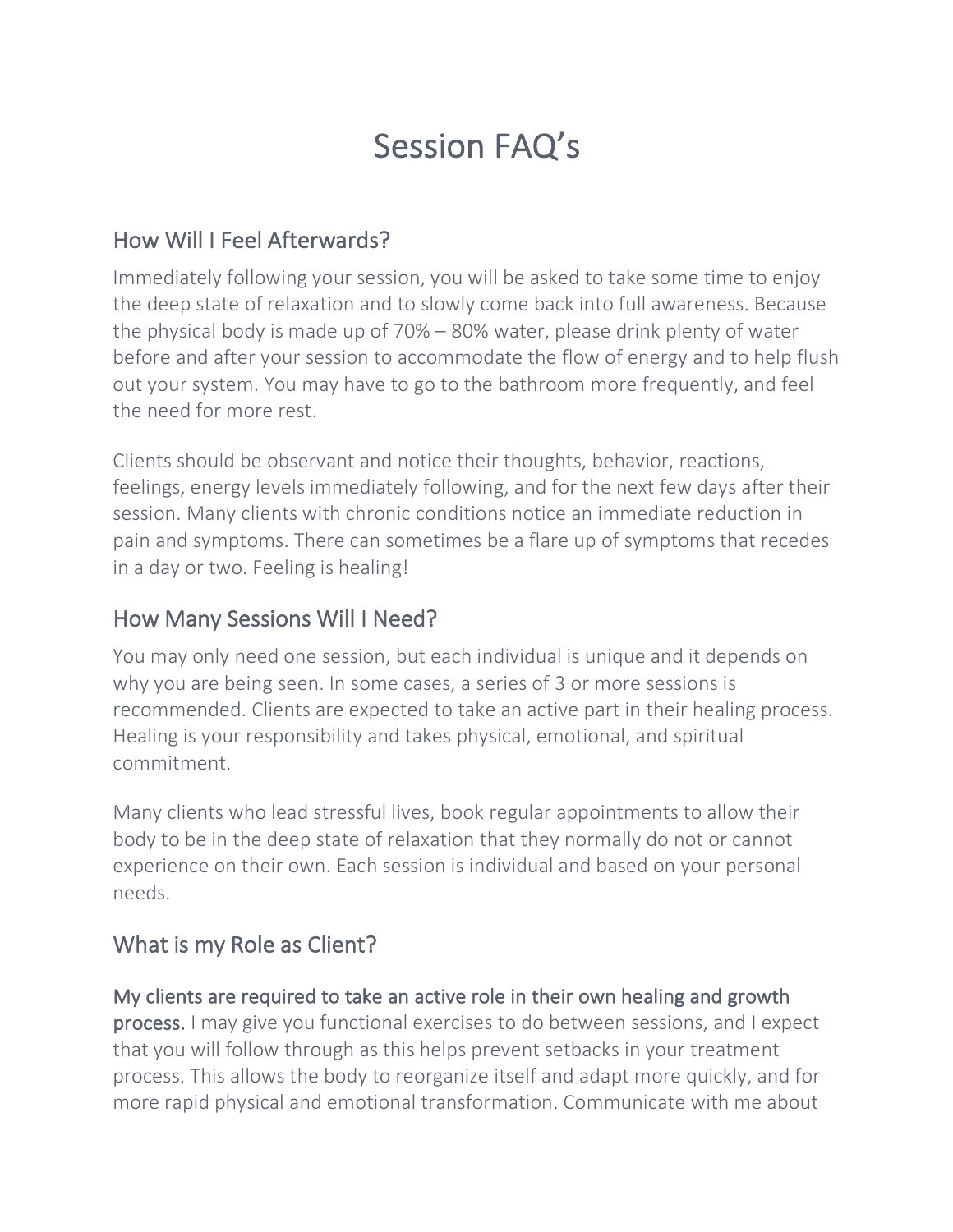# Session FAQ's

## How Will I Feel Afterwards?

Immediately following your session, you will be asked to take some time to enjoy the deep state of relaxation and to slowly come back into full awareness. Because the physical body is made up of 70% – 80% water, please drink plenty of water before and after your session to accommodate the flow of energy and to help flush out your system. You may have to go to the bathroom more frequently, and feel the need for more rest.

Clients should be observant and notice their thoughts, behavior, reactions, feelings, energy levels immediately following, and for the next few days after their session. Many clients with chronic conditions notice an immediate reduction in pain and symptoms. There can sometimes be a flare up of symptoms that recedes in a day or two. Feeling is healing!

## How Many Sessions Will I Need?

You may only need one session, but each individual is unique and it depends on why you are being seen. In some cases, a series of 3 or more sessions is recommended. Clients are expected to take an active part in their healing process. Healing is your responsibility and takes physical, emotional, and spiritual commitment.

Many clients who lead stressful lives, book regular appointments to allow their body to be in the deep state of relaxation that they normally do not or cannot experience on their own. Each session is individual and based on your personal needs.

# What is my Role as Client?

# My clients are required to take an active role in their own healing and growth

process. I may give you functional exercises to do between sessions, and I expect that you will follow through as this helps prevent setbacks in your treatment process. This allows the body to reorganize itself and adapt more quickly, and for more rapid physical and emotional transformation. Communicate with me about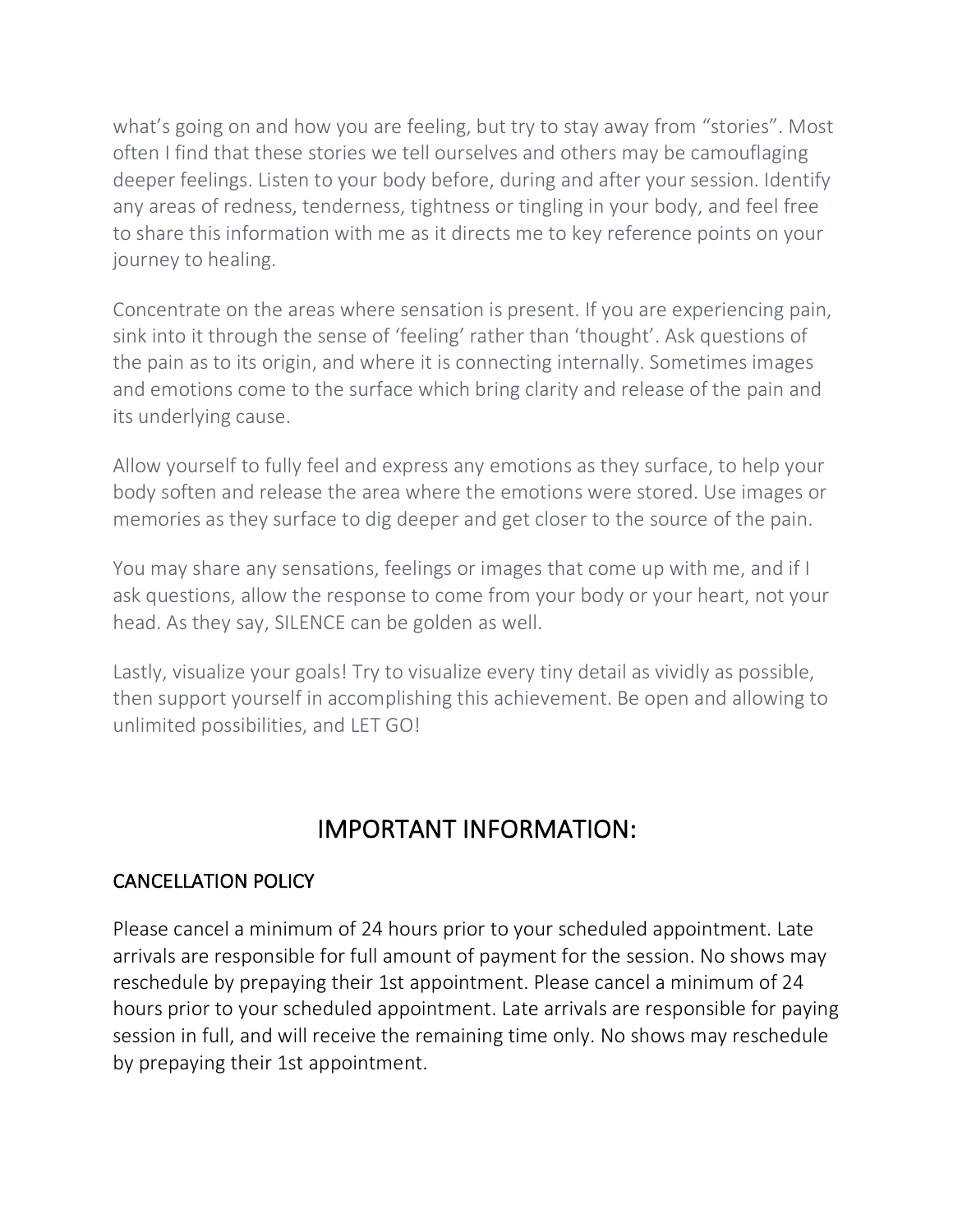what's going on and how you are feeling, but try to stay away from "stories". Most often I find that these stories we tell ourselves and others may be camouflaging deeper feelings. Listen to your body before, during and after your session. Identify any areas of redness, tenderness, tightness or tingling in your body, and feel free to share this information with me as it directs me to key reference points on your journey to healing.

Concentrate on the areas where sensation is present. If you are experiencing pain, sink into it through the sense of 'feeling' rather than 'thought'. Ask questions of the pain as to its origin, and where it is connecting internally. Sometimes images and emotions come to the surface which bring clarity and release of the pain and its underlying cause.

Allow yourself to fully feel and express any emotions as they surface, to help your body soften and release the area where the emotions were stored. Use images or memories as they surface to dig deeper and get closer to the source of the pain.

You may share any sensations, feelings or images that come up with me, and if I ask questions, allow the response to come from your body or your heart, not your head. As they say, SILENCE can be golden as well.

Lastly, visualize your goals! Try to visualize every tiny detail as vividly as possible, then support yourself in accomplishing this achievement. Be open and allowing to unlimited possibilities, and LET GO!

# IMPORTANT INFORMATION:

## CANCELLATION POLICY

Please cancel a minimum of 24 hours prior to your scheduled appointment. Late arrivals are responsible for full amount of payment for the session. No shows may reschedule by prepaying their 1st appointment. Please cancel a minimum of 24 hours prior to your scheduled appointment. Late arrivals are responsible for paying session in full, and will receive the remaining time only. No shows may reschedule by prepaying their 1st appointment.